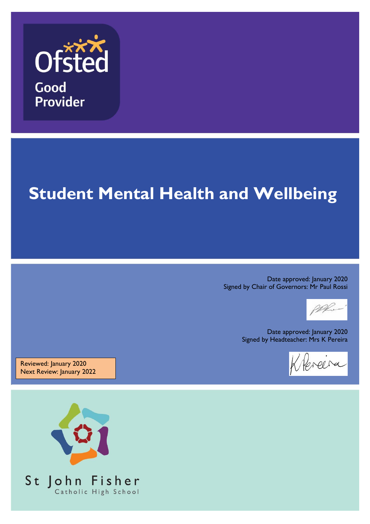

# **Student Wellbeing Student Mental Health and Wellbeing**

Date approved: January 2020 Signed by Chair of Governors: Mr Paul Rossi

Date approved: 25.11.15 Signed by Chair of Governors: Mr Paul Rossi

Date approved: January 2020 Signed by Headteacher: Mrs K Pereira

 $\Box$ Signed by Headtha

Reviewed: January 2020 Next Review: January 2022

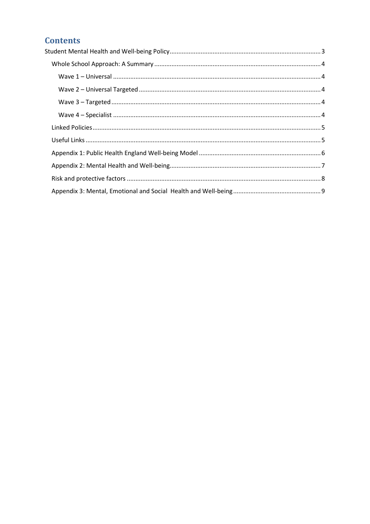## **Contents**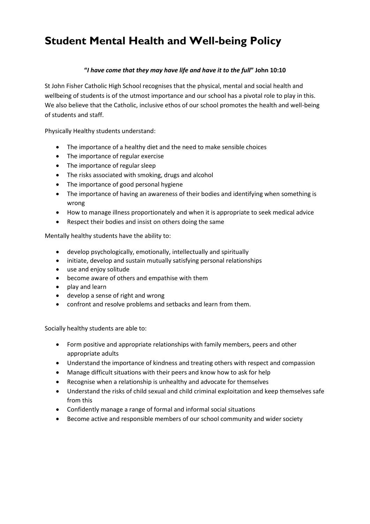## <span id="page-2-0"></span>**Student Mental Health and Well-being Policy**

#### **"***I have come that they may have life and have it to the full***" John 10:10**

St John Fisher Catholic High School recognises that the physical, mental and social health and wellbeing of students is of the utmost importance and our school has a pivotal role to play in this. We also believe that the Catholic, inclusive ethos of our school promotes the health and well-being of students and staff.

Physically Healthy students understand:

- The importance of a healthy diet and the need to make sensible choices
- The importance of regular exercise
- The importance of regular sleep
- The risks associated with smoking, drugs and alcohol
- The importance of good personal hygiene
- The importance of having an awareness of their bodies and identifying when something is wrong
- How to manage illness proportionately and when it is appropriate to seek medical advice
- Respect their bodies and insist on others doing the same

Mentally healthy students have the ability to:

- develop psychologically, emotionally, intellectually and spiritually
- initiate, develop and sustain mutually satisfying personal relationships
- use and enjoy solitude
- become aware of others and empathise with them
- play and learn
- develop a sense of right and wrong
- confront and resolve problems and setbacks and learn from them.

Socially healthy students are able to:

- Form positive and appropriate relationships with family members, peers and other appropriate adults
- Understand the importance of kindness and treating others with respect and compassion
- Manage difficult situations with their peers and know how to ask for help
- Recognise when a relationship is unhealthy and advocate for themselves
- Understand the risks of child sexual and child criminal exploitation and keep themselves safe from this
- Confidently manage a range of formal and informal social situations
- Become active and responsible members of our school community and wider society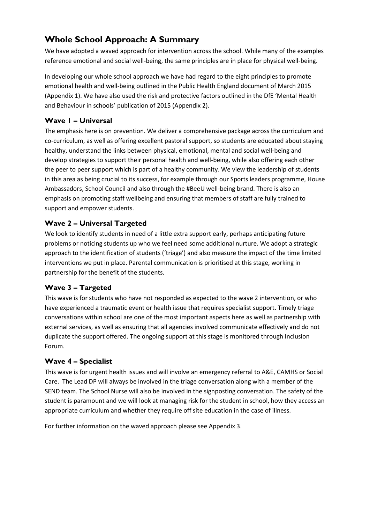## <span id="page-3-0"></span>**Whole School Approach: A Summary**

We have adopted a waved approach for intervention across the school. While many of the examples reference emotional and social well-being, the same principles are in place for physical well-being.

In developing our whole school approach we have had regard to the eight principles to promote emotional health and well-being outlined in the Public Health England document of March 2015 (Appendix 1). We have also used the risk and protective factors outlined in the DfE 'Mental Health and Behaviour in schools' publication of 2015 (Appendix 2).

#### <span id="page-3-1"></span>**Wave 1 – Universal**

The emphasis here is on prevention. We deliver a comprehensive package across the curriculum and co-curriculum, as well as offering excellent pastoral support, so students are educated about staying healthy, understand the links between physical, emotional, mental and social well-being and develop strategies to support their personal health and well-being, while also offering each other the peer to peer support which is part of a healthy community. We view the leadership of students in this area as being crucial to its success, for example through our Sports leaders programme, House Ambassadors, School Council and also through the #BeeU well-being brand. There is also an emphasis on promoting staff wellbeing and ensuring that members of staff are fully trained to support and empower students.

#### <span id="page-3-2"></span>**Wave 2 – Universal Targeted**

We look to identify students in need of a little extra support early, perhaps anticipating future problems or noticing students up who we feel need some additional nurture. We adopt a strategic approach to the identification of students ('triage') and also measure the impact of the time limited interventions we put in place. Parental communication is prioritised at this stage, working in partnership for the benefit of the students.

#### <span id="page-3-3"></span>**Wave 3 – Targeted**

This wave is for students who have not responded as expected to the wave 2 intervention, or who have experienced a traumatic event or health issue that requires specialist support. Timely triage conversations within school are one of the most important aspects here as well as partnership with external services, as well as ensuring that all agencies involved communicate effectively and do not duplicate the support offered. The ongoing support at this stage is monitored through Inclusion Forum.

#### <span id="page-3-4"></span>**Wave 4 – Specialist**

This wave is for urgent health issues and will involve an emergency referral to A&E, CAMHS or Social Care. The Lead DP will always be involved in the triage conversation along with a member of the SEND team. The School Nurse will also be involved in the signposting conversation. The safety of the student is paramount and we will look at managing risk for the student in school, how they access an appropriate curriculum and whether they require off site education in the case of illness.

For further information on the waved approach please see Appendix 3.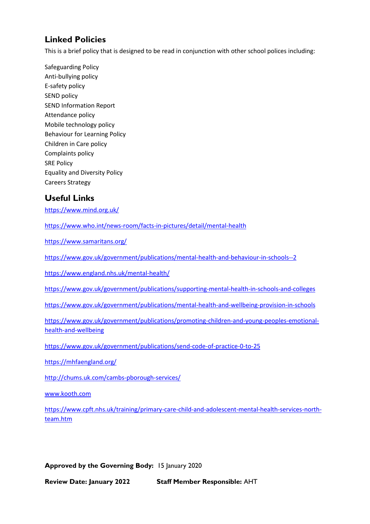### <span id="page-4-0"></span>**Linked Policies**

This is a brief policy that is designed to be read in conjunction with other school polices including:

Safeguarding Policy Anti-bullying policy E-safety policy SEND policy SEND Information Report Attendance policy Mobile technology policy Behaviour for Learning Policy Children in Care policy Complaints policy SRE Policy Equality and Diversity Policy Careers Strategy

#### <span id="page-4-1"></span>**Useful Links**

<https://www.mind.org.uk/>

<https://www.who.int/news-room/facts-in-pictures/detail/mental-health>

<https://www.samaritans.org/>

<https://www.gov.uk/government/publications/mental-health-and-behaviour-in-schools--2>

<https://www.england.nhs.uk/mental-health/>

<https://www.gov.uk/government/publications/supporting-mental-health-in-schools-and-colleges>

<https://www.gov.uk/government/publications/mental-health-and-wellbeing-provision-in-schools>

[https://www.gov.uk/government/publications/promoting-children-and-young-peoples-emotional](https://www.gov.uk/government/publications/promoting-children-and-young-peoples-emotional-health-and-wellbeing)[health-and-wellbeing](https://www.gov.uk/government/publications/promoting-children-and-young-peoples-emotional-health-and-wellbeing)

<https://www.gov.uk/government/publications/send-code-of-practice-0-to-25>

<https://mhfaengland.org/>

<http://chums.uk.com/cambs-pborough-services/>

[www.kooth.com](file://///sjf-staff/officeshared$/Policies&Procedures/Draft%20Policies/www.kooth.com)

[https://www.cpft.nhs.uk/training/primary-care-child-and-adolescent-mental-health-services-north](https://www.cpft.nhs.uk/training/primary-care-child-and-adolescent-mental-health-services-north-team.htm)[team.htm](https://www.cpft.nhs.uk/training/primary-care-child-and-adolescent-mental-health-services-north-team.htm)

**Approved by the Governing Body:** 15 January 2020

**Review Date: January 2022 Staff Member Responsible:** AHT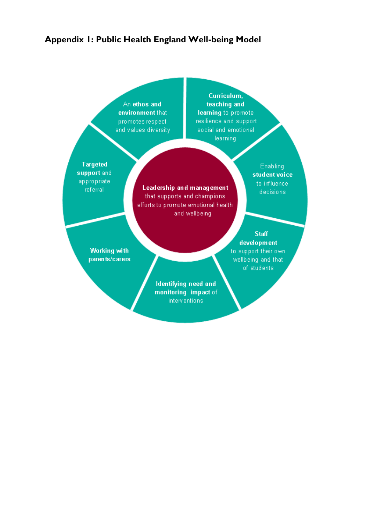#### <span id="page-5-0"></span>Appendix 1: Public Health England Well-being Model

An ethos and environment that promotes respect and values diversity

Curriculum, teaching and learning to promote resilience and support social and emotional **learning** 

**Targeted** support and appropriate referral

Leadership and management that supports and champions efforts to promote emotional health and wellbeing

Enabling student voice to influence decisions.

**Working with** parents/carers

**Staff** development to support their own. wellbeing and that of students

Identifying need and monitoring impact of *interventions*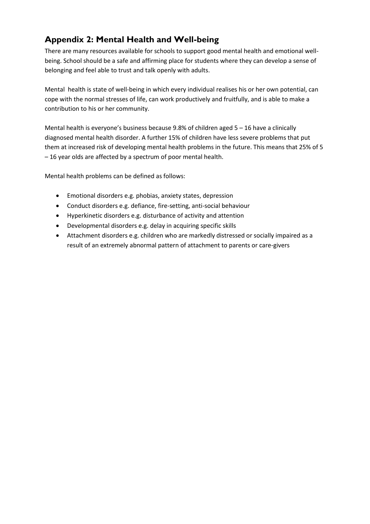## <span id="page-6-0"></span>**Appendix 2: Mental Health and Well-being**

There are many resources available for schools to support good mental health and emotional wellbeing. School should be a safe and affirming place for students where they can develop a sense of belonging and feel able to trust and talk openly with adults.

Mental health is state of well-being in which every individual realises his or her own potential, can cope with the normal stresses of life, can work productively and fruitfully, and is able to make a contribution to his or her community.

Mental health is everyone's business because  $9.8\%$  of children aged  $5 - 16$  have a clinically diagnosed mental health disorder. A further 15% of children have less severe problems that put them at increased risk of developing mental health problems in the future. This means that 25% of 5 – 16 year olds are affected by a spectrum of poor mental health.

Mental health problems can be defined as follows:

- Emotional disorders e.g. phobias, anxiety states, depression
- Conduct disorders e.g. defiance, fire-setting, anti-social behaviour
- Hyperkinetic disorders e.g. disturbance of activity and attention
- Developmental disorders e.g. delay in acquiring specific skills
- Attachment disorders e.g. children who are markedly distressed or socially impaired as a result of an extremely abnormal pattern of attachment to parents or care-givers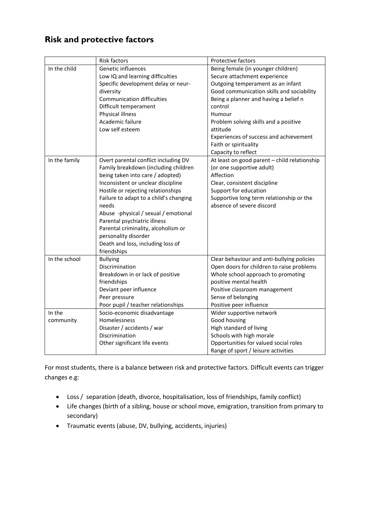## <span id="page-7-0"></span>**Risk and protective factors**

|               | Risk factors                           | Protective factors                           |
|---------------|----------------------------------------|----------------------------------------------|
| In the child  | Genetic influences                     | Being female (in younger children)           |
|               | Low IQ and learning difficulties       | Secure attachment experience                 |
|               | Specific development delay or neur-    | Outgoing temperament as an infant            |
|               | diversity                              | Good communication skills and sociability    |
|               | <b>Communication difficulties</b>      | Being a planner and having a belief n        |
|               | Difficult temperament                  | control                                      |
|               | Physical illness                       | Humour                                       |
|               | Academic failure                       | Problem solving skills and a positive        |
|               | Low self esteem                        | attitude                                     |
|               |                                        | Experiences of success and achievement       |
|               |                                        | Faith or spirituality                        |
|               |                                        | Capacity to reflect                          |
| In the family | Overt parental conflict including DV   | At least on good parent - child relationship |
|               | Family breakdown (including children   | (or one supportive adult)                    |
|               | being taken into care / adopted)       | Affection                                    |
|               | Inconsistent or unclear discipline     | Clear, consistent discipline                 |
|               | Hostile or rejecting relationships     | Support for education                        |
|               | Failure to adapt to a child's changing | Supportive long term relationship or the     |
|               | needs                                  | absence of severe discord                    |
|               | Abuse -physical / sexual / emotional   |                                              |
|               | Parental psychiatric illness           |                                              |
|               | Parental criminality, alcoholism or    |                                              |
|               | personality disorder                   |                                              |
|               | Death and loss, including loss of      |                                              |
|               | friendships                            |                                              |
| In the school | <b>Bullying</b>                        | Clear behaviour and anti-bullying policies   |
|               | Discrimination                         | Open doors for children to raise problems    |
|               | Breakdown in or lack of positive       | Whole school approach to promoting           |
|               | friendships                            | positive mental health                       |
|               | Deviant peer influence                 | Positive classroom management                |
|               | Peer pressure                          | Sense of belonging                           |
|               | Poor pupil / teacher relationships     | Positive peer influence                      |
| In the        | Socio-economic disadvantage            | Wider supportive network                     |
| community     | Homelessness                           | Good housing                                 |
|               | Disaster / accidents / war             | High standard of living                      |
|               | Discrimination                         | Schools with high morale                     |
|               | Other significant life events          | Opportunities for valued social roles        |
|               |                                        | Range of sport / leisure activities          |

For most students, there is a balance between risk and protective factors. Difficult events can trigger changes e.g:

- Loss / separation (death, divorce, hospitalisation, loss of friendships, family conflict)
- Life changes (birth of a sibling, house or school move, emigration, transition from primary to secondary)
- Traumatic events (abuse, DV, bullying, accidents, injuries)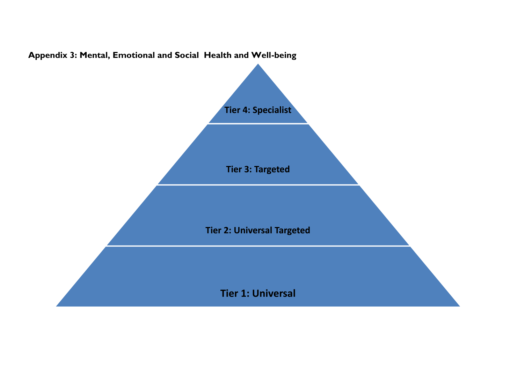<span id="page-8-0"></span>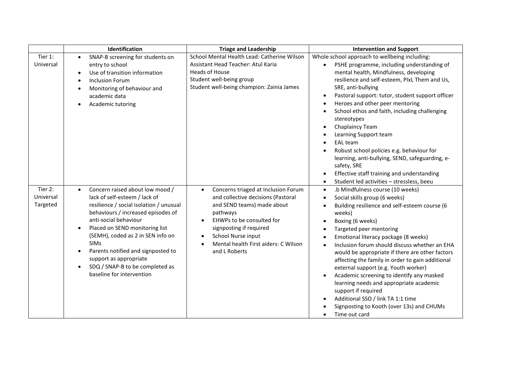|                                  | Identification                                                                                                                                                                                                                                                                                                                                                                                                                                       | <b>Triage and Leadership</b>                                                                                                                                                                                                                                            | <b>Intervention and Support</b>                                                                                                                                                                                                                                                                                                                                                                                                                                                                                                                                                                                                                                                                        |
|----------------------------------|------------------------------------------------------------------------------------------------------------------------------------------------------------------------------------------------------------------------------------------------------------------------------------------------------------------------------------------------------------------------------------------------------------------------------------------------------|-------------------------------------------------------------------------------------------------------------------------------------------------------------------------------------------------------------------------------------------------------------------------|--------------------------------------------------------------------------------------------------------------------------------------------------------------------------------------------------------------------------------------------------------------------------------------------------------------------------------------------------------------------------------------------------------------------------------------------------------------------------------------------------------------------------------------------------------------------------------------------------------------------------------------------------------------------------------------------------------|
| Tier 1:<br>Universal             | SNAP-B screening for students on<br>$\bullet$<br>entry to school<br>Use of transition information<br>$\bullet$<br><b>Inclusion Forum</b><br>Monitoring of behaviour and<br>academic data<br>Academic tutoring<br>$\bullet$                                                                                                                                                                                                                           | School Mental Health Lead: Catherine Wilson<br>Assistant Head Teacher: Atul Karia<br><b>Heads of House</b><br>Student well-being group<br>Student well-being champion: Zainia James                                                                                     | Whole school approach to wellbeing including:<br>PSHE programme, including understanding of<br>mental health, Mindfulness, developing<br>resilience and self-esteem, PIxL Them and Us,<br>SRE, anti-bullying<br>Pastoral support: tutor, student support officer<br>Heroes and other peer mentoring<br>School ethos and faith, including challenging<br>stereotypes<br>Chaplaincy Team<br>$\bullet$<br>Learning Support team<br><b>EAL</b> team<br>Robust school policies e.g. behaviour for<br>learning, anti-bullying, SEND, safeguarding, e-<br>safety, SRE<br>Effective staff training and understanding<br>Student led activities - stressless, beeu<br>$\bullet$                                 |
| Tier 2:<br>Universal<br>Targeted | Concern raised about low mood /<br>$\bullet$<br>lack of self-esteem / lack of<br>resilience / social isolation / unusual<br>behaviours / increased episodes of<br>anti-social behaviour<br>Placed on SEND monitoring list<br>$\bullet$<br>(SEMH), coded as 2 in SEN info on<br><b>SIMs</b><br>Parents notified and signposted to<br>$\bullet$<br>support as appropriate<br>SDQ / SNAP-B to be completed as<br>$\bullet$<br>baseline for intervention | Concerns triaged at Inclusion Forum<br>$\bullet$<br>and collective decisions (Pastoral<br>and SEND teams) made about<br>pathways<br>EHWPs to be consulted for<br>signposting if required<br>School Nurse input<br>Mental health First aiders: C Wilson<br>and L Roberts | .b Mindfulness course (10 weeks)<br>$\bullet$<br>Social skills group (6 weeks)<br>$\bullet$<br>Building resilience and self-esteem course (6<br>$\bullet$<br>weeks)<br>Boxing (6 weeks)<br>$\bullet$<br>Targeted peer mentoring<br>Emotional literacy package (8 weeks)<br>$\bullet$<br>Inclusion forum should discuss whether an EHA<br>would be appropriate if there are other factors<br>affecting the family in order to gain additional<br>external support (e.g. Youth worker)<br>Academic screening to identify any masked<br>learning needs and appropriate academic<br>support if required<br>Additional SSO / link TA 1:1 time<br>Signposting to Kooth (over 13s) and CHUMs<br>Time out card |